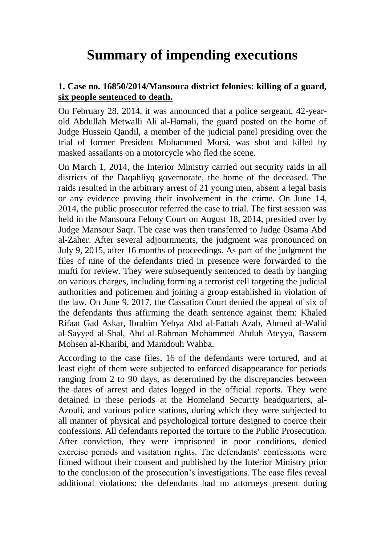# **Summary of impending executions**

## **1. Case no. 16850/2014/Mansoura district felonies: killing of a guard, six people sentenced to death.**

On February 28, 2014, it was announced that a police sergeant, 42-yearold Abdullah Metwalli Ali al-Hamali, the guard posted on the home of Judge Hussein Qandil, a member of the judicial panel presiding over the trial of former President Mohammed Morsi, was shot and killed by masked assailants on a motorcycle who fled the scene.

On March 1, 2014, the Interior Ministry carried out security raids in all districts of the Daqahliyq governorate, the home of the deceased. The raids resulted in the arbitrary arrest of 21 young men, absent a legal basis or any evidence proving their involvement in the crime. On June 14, 2014, the public prosecutor referred the case to trial. The first session was held in the Mansoura Felony Court on August 18, 2014, presided over by Judge Mansour Saqr. The case was then transferred to Judge Osama Abd al-Zaher. After several adjournments, the judgment was pronounced on July 9, 2015, after 16 months of proceedings. As part of the judgment the files of nine of the defendants tried in presence were forwarded to the mufti for review. They were subsequently sentenced to death by hanging on various charges, including forming a terrorist cell targeting the judicial authorities and policemen and joining a group established in violation of the law. On June 9, 2017, the Cassation Court denied the appeal of six of the defendants thus affirming the death sentence against them: Khaled Rifaat Gad Askar, Ibrahim Yehya Abd al-Fattah Azab, Ahmed al-Walid al-Sayyed al-Shal, Abd al-Rahman Mohammed Abduh Ateyya, Bassem Mohsen al-Kharibi, and Mamdouh Wahba.

According to the case files, 16 of the defendants were tortured, and at least eight of them were subjected to enforced disappearance for periods ranging from 2 to 90 days, as determined by the discrepancies between the dates of arrest and dates logged in the official reports. They were detained in these periods at the Homeland Security headquarters, al-Azouli, and various police stations, during which they were subjected to all manner of physical and psychological torture designed to coerce their confessions. All defendants reported the torture to the Public Prosecution. After conviction, they were imprisoned in poor conditions, denied exercise periods and visitation rights. The defendants' confessions were filmed without their consent and published by the Interior Ministry prior to the conclusion of the prosecution's investigations. The case files reveal additional violations: the defendants had no attorneys present during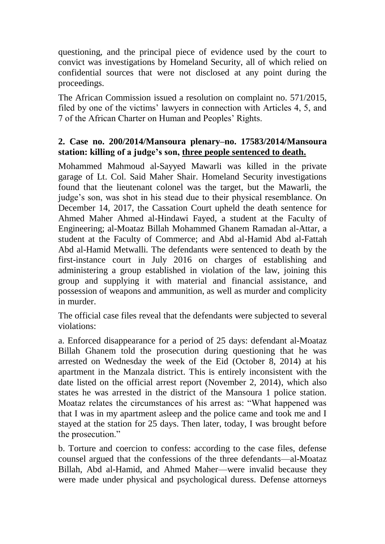questioning, and the principal piece of evidence used by the court to convict was investigations by Homeland Security, all of which relied on confidential sources that were not disclosed at any point during the proceedings.

The African Commission issued a resolution on complaint no. 571/2015, filed by one of the victims' lawyers in connection with Articles 4, 5, and 7 of the African Charter on Human and Peoples' Rights.

#### **2. Case no. 200/2014/Mansoura plenary–no. 17583/2014/Mansoura station: killing of a judge's son, three people sentenced to death.**

Mohammed Mahmoud al-Sayyed Mawarli was killed in the private garage of Lt. Col. Said Maher Shair. Homeland Security investigations found that the lieutenant colonel was the target, but the Mawarli, the judge's son, was shot in his stead due to their physical resemblance. On December 14, 2017, the Cassation Court upheld the death sentence for Ahmed Maher Ahmed al-Hindawi Fayed, a student at the Faculty of Engineering; al-Moataz Billah Mohammed Ghanem Ramadan al-Attar, a student at the Faculty of Commerce; and Abd al-Hamid Abd al-Fattah Abd al-Hamid Metwalli. The defendants were sentenced to death by the first-instance court in July 2016 on charges of establishing and administering a group established in violation of the law, joining this group and supplying it with material and financial assistance, and possession of weapons and ammunition, as well as murder and complicity in murder.

The official case files reveal that the defendants were subjected to several violations:

a. Enforced disappearance for a period of 25 days: defendant al-Moataz Billah Ghanem told the prosecution during questioning that he was arrested on Wednesday the week of the Eid (October 8, 2014) at his apartment in the Manzala district. This is entirely inconsistent with the date listed on the official arrest report (November 2, 2014), which also states he was arrested in the district of the Mansoura 1 police station. Moataz relates the circumstances of his arrest as: "What happened was that I was in my apartment asleep and the police came and took me and I stayed at the station for 25 days. Then later, today, I was brought before the prosecution."

b. Torture and coercion to confess: according to the case files, defense counsel argued that the confessions of the three defendants—al-Moataz Billah, Abd al-Hamid, and Ahmed Maher—were invalid because they were made under physical and psychological duress. Defense attorneys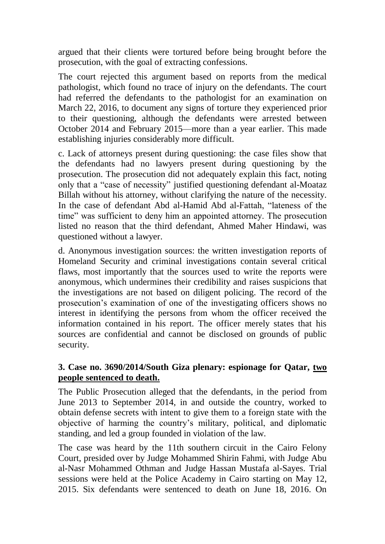argued that their clients were tortured before being brought before the prosecution, with the goal of extracting confessions.

The court rejected this argument based on reports from the medical pathologist, which found no trace of injury on the defendants. The court had referred the defendants to the pathologist for an examination on March 22, 2016, to document any signs of torture they experienced prior to their questioning, although the defendants were arrested between October 2014 and February 2015—more than a year earlier. This made establishing injuries considerably more difficult.

c. Lack of attorneys present during questioning: the case files show that the defendants had no lawyers present during questioning by the prosecution. The prosecution did not adequately explain this fact, noting only that a "case of necessity" justified questioning defendant al-Moataz Billah without his attorney, without clarifying the nature of the necessity. In the case of defendant Abd al-Hamid Abd al-Fattah, "lateness of the time" was sufficient to deny him an appointed attorney. The prosecution listed no reason that the third defendant, Ahmed Maher Hindawi, was questioned without a lawyer.

d. Anonymous investigation sources: the written investigation reports of Homeland Security and criminal investigations contain several critical flaws, most importantly that the sources used to write the reports were anonymous, which undermines their credibility and raises suspicions that the investigations are not based on diligent policing. The record of the prosecution's examination of one of the investigating officers shows no interest in identifying the persons from whom the officer received the information contained in his report. The officer merely states that his sources are confidential and cannot be disclosed on grounds of public security.

#### **3. Case no. 3690/2014/South Giza plenary: espionage for Qatar, two people sentenced to death.**

The Public Prosecution alleged that the defendants, in the period from June 2013 to September 2014, in and outside the country, worked to obtain defense secrets with intent to give them to a foreign state with the objective of harming the country's military, political, and diplomatic standing, and led a group founded in violation of the law.

The case was heard by the 11th southern circuit in the Cairo Felony Court, presided over by Judge Mohammed Shirin Fahmi, with Judge Abu al-Nasr Mohammed Othman and Judge Hassan Mustafa al-Sayes. Trial sessions were held at the Police Academy in Cairo starting on May 12, 2015. Six defendants were sentenced to death on June 18, 2016. On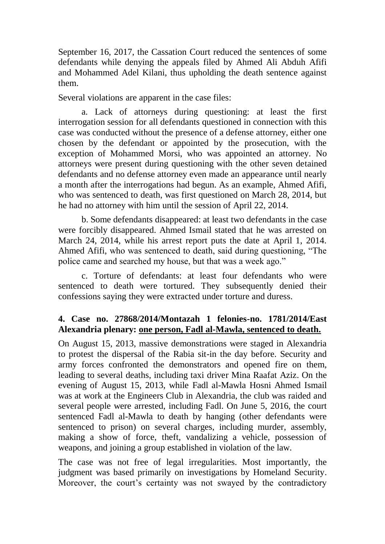September 16, 2017, the Cassation Court reduced the sentences of some defendants while denying the appeals filed by Ahmed Ali Abduh Afifi and Mohammed Adel Kilani, thus upholding the death sentence against them.

Several violations are apparent in the case files:

a. Lack of attorneys during questioning: at least the first interrogation session for all defendants questioned in connection with this case was conducted without the presence of a defense attorney, either one chosen by the defendant or appointed by the prosecution, with the exception of Mohammed Morsi, who was appointed an attorney. No attorneys were present during questioning with the other seven detained defendants and no defense attorney even made an appearance until nearly a month after the interrogations had begun. As an example, Ahmed Afifi, who was sentenced to death, was first questioned on March 28, 2014, but he had no attorney with him until the session of April 22, 2014.

b. Some defendants disappeared: at least two defendants in the case were forcibly disappeared. Ahmed Ismail stated that he was arrested on March 24, 2014, while his arrest report puts the date at April 1, 2014. Ahmed Afifi, who was sentenced to death, said during questioning, "The police came and searched my house, but that was a week ago."

c. Torture of defendants: at least four defendants who were sentenced to death were tortured. They subsequently denied their confessions saying they were extracted under torture and duress.

#### **4. Case no. 27868/2014/Montazah 1 felonies-no. 1781/2014/East Alexandria plenary: one person, Fadl al-Mawla, sentenced to death.**

On August 15, 2013, massive demonstrations were staged in Alexandria to protest the dispersal of the Rabia sit-in the day before. Security and army forces confronted the demonstrators and opened fire on them, leading to several deaths, including taxi driver Mina Raafat Aziz. On the evening of August 15, 2013, while Fadl al-Mawla Hosni Ahmed Ismail was at work at the Engineers Club in Alexandria, the club was raided and several people were arrested, including Fadl. On June 5, 2016, the court sentenced Fadl al-Mawla to death by hanging (other defendants were sentenced to prison) on several charges, including murder, assembly, making a show of force, theft, vandalizing a vehicle, possession of weapons, and joining a group established in violation of the law.

The case was not free of legal irregularities. Most importantly, the judgment was based primarily on investigations by Homeland Security. Moreover, the court's certainty was not swayed by the contradictory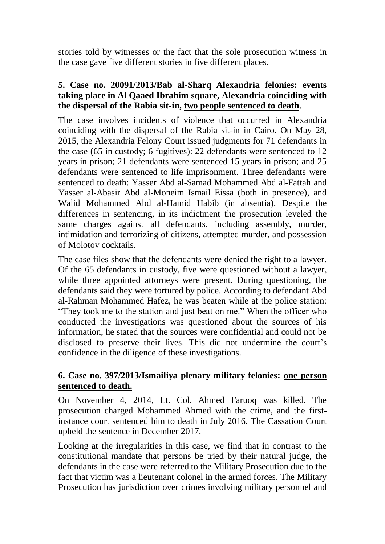stories told by witnesses or the fact that the sole prosecution witness in the case gave five different stories in five different places.

## **5. Case no. 20091/2013/Bab al-Sharq Alexandria felonies: events taking place in Al Qaaed Ibrahim square, Alexandria coinciding with the dispersal of the Rabia sit-in, two people sentenced to death**.

The case involves incidents of violence that occurred in Alexandria coinciding with the dispersal of the Rabia sit-in in Cairo. On May 28, 2015, the Alexandria Felony Court issued judgments for 71 defendants in the case (65 in custody; 6 fugitives): 22 defendants were sentenced to 12 years in prison; 21 defendants were sentenced 15 years in prison; and 25 defendants were sentenced to life imprisonment. Three defendants were sentenced to death: Yasser Abd al-Samad Mohammed Abd al-Fattah and Yasser al-Abasir Abd al-Moneim Ismail Eissa (both in presence), and Walid Mohammed Abd al-Hamid Habib (in absentia). Despite the differences in sentencing, in its indictment the prosecution leveled the same charges against all defendants, including assembly, murder, intimidation and terrorizing of citizens, attempted murder, and possession of Molotov cocktails.

The case files show that the defendants were denied the right to a lawyer. Of the 65 defendants in custody, five were questioned without a lawyer, while three appointed attorneys were present. During questioning, the defendants said they were tortured by police. According to defendant Abd al-Rahman Mohammed Hafez, he was beaten while at the police station: "They took me to the station and just beat on me." When the officer who conducted the investigations was questioned about the sources of his information, he stated that the sources were confidential and could not be disclosed to preserve their lives. This did not undermine the court's confidence in the diligence of these investigations.

## **6. Case no. 397/2013/Ismailiya plenary military felonies: one person sentenced to death.**

On November 4, 2014, Lt. Col. Ahmed Faruoq was killed. The prosecution charged Mohammed Ahmed with the crime, and the firstinstance court sentenced him to death in July 2016. The Cassation Court upheld the sentence in December 2017.

Looking at the irregularities in this case, we find that in contrast to the constitutional mandate that persons be tried by their natural judge, the defendants in the case were referred to the Military Prosecution due to the fact that victim was a lieutenant colonel in the armed forces. The Military Prosecution has jurisdiction over crimes involving military personnel and